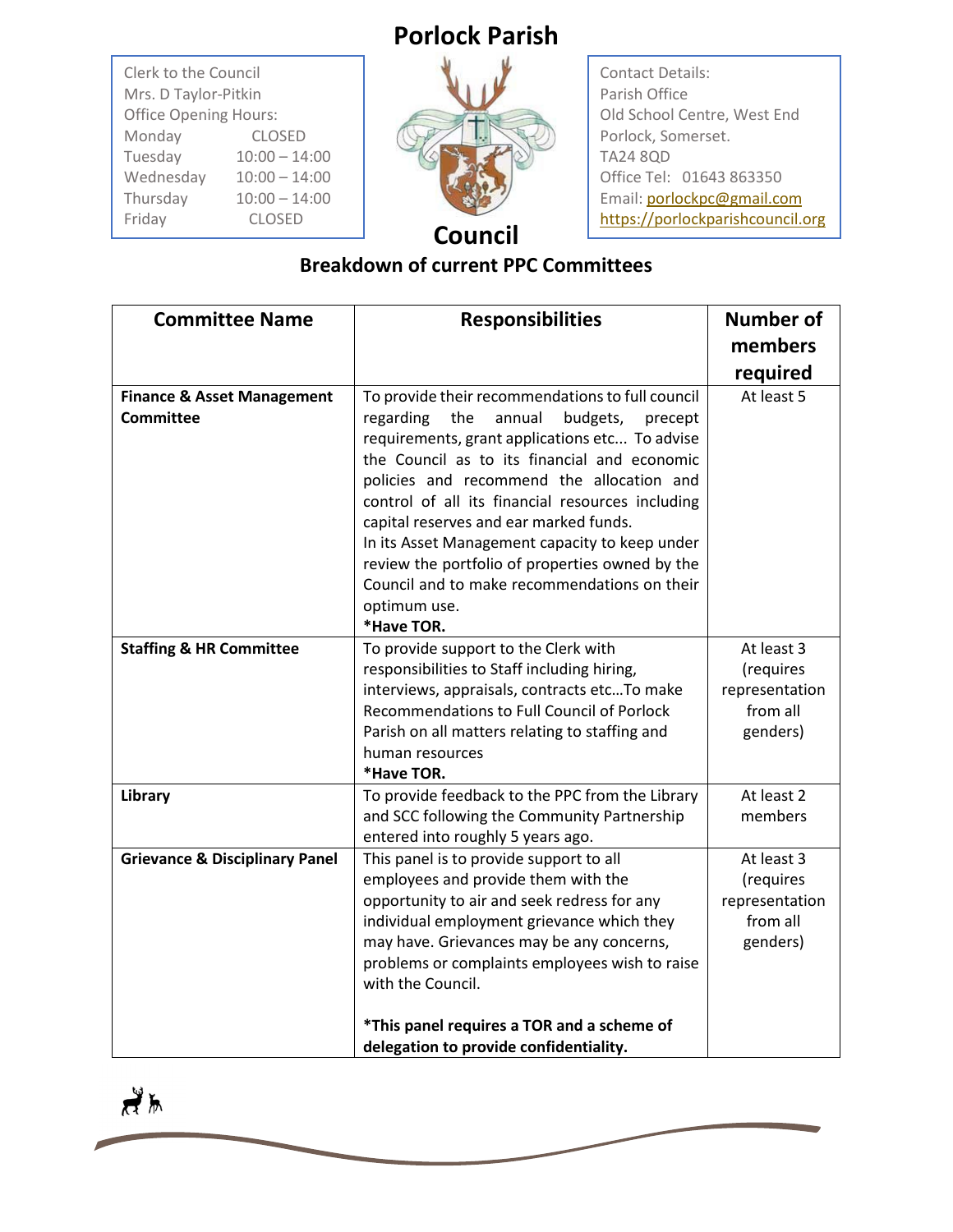## **Porlock Parish**

| Clerk to the Council<br>Mrs. D Taylor-Pitkin |                 |  |
|----------------------------------------------|-----------------|--|
| <b>Office Opening Hours:</b>                 |                 |  |
| Monday                                       | <b>CLOSED</b>   |  |
| Tuesday                                      | $10:00 - 14:00$ |  |
| Wednesday                                    | $10:00 - 14:00$ |  |
| Thursday                                     | $10:00 - 14:00$ |  |
| Friday                                       | <b>CLOSED</b>   |  |



Contact Details: Parish Office Old School Centre, West End Porlock, Somerset. TA24 8QD Office Tel: 01643 863350 Email[: porlockpc@gmail.com](mailto:porlockpc@gmail.com) [https://porlockparishcouncil.org](https://porlockparishcouncil.org/)

## **Breakdown of current PPC Committees**

| <b>Committee Name</b>                                     | <b>Responsibilities</b>                                                                                                                                                                                                                                                                                                                                                                                                                                                                                                               | <b>Number of</b>                                                  |
|-----------------------------------------------------------|---------------------------------------------------------------------------------------------------------------------------------------------------------------------------------------------------------------------------------------------------------------------------------------------------------------------------------------------------------------------------------------------------------------------------------------------------------------------------------------------------------------------------------------|-------------------------------------------------------------------|
|                                                           |                                                                                                                                                                                                                                                                                                                                                                                                                                                                                                                                       | members                                                           |
|                                                           |                                                                                                                                                                                                                                                                                                                                                                                                                                                                                                                                       | required                                                          |
| <b>Finance &amp; Asset Management</b><br><b>Committee</b> | To provide their recommendations to full council<br>the<br>annual<br>budgets,<br>regarding<br>precept<br>requirements, grant applications etc To advise<br>the Council as to its financial and economic<br>policies and recommend the allocation and<br>control of all its financial resources including<br>capital reserves and ear marked funds.<br>In its Asset Management capacity to keep under<br>review the portfolio of properties owned by the<br>Council and to make recommendations on their<br>optimum use.<br>*Have TOR. | At least 5                                                        |
| <b>Staffing &amp; HR Committee</b>                        | To provide support to the Clerk with<br>responsibilities to Staff including hiring,<br>interviews, appraisals, contracts etcTo make<br>Recommendations to Full Council of Porlock<br>Parish on all matters relating to staffing and<br>human resources<br>*Have TOR.                                                                                                                                                                                                                                                                  | At least 3<br>(requires<br>representation<br>from all<br>genders) |
| Library                                                   | To provide feedback to the PPC from the Library<br>and SCC following the Community Partnership<br>entered into roughly 5 years ago.                                                                                                                                                                                                                                                                                                                                                                                                   | At least 2<br>members                                             |
| <b>Grievance &amp; Disciplinary Panel</b>                 | This panel is to provide support to all<br>employees and provide them with the<br>opportunity to air and seek redress for any<br>individual employment grievance which they<br>may have. Grievances may be any concerns,<br>problems or complaints employees wish to raise<br>with the Council.<br>*This panel requires a TOR and a scheme of<br>delegation to provide confidentiality.                                                                                                                                               | At least 3<br>(requires<br>representation<br>from all<br>genders) |

 $\frac{1}{2}$